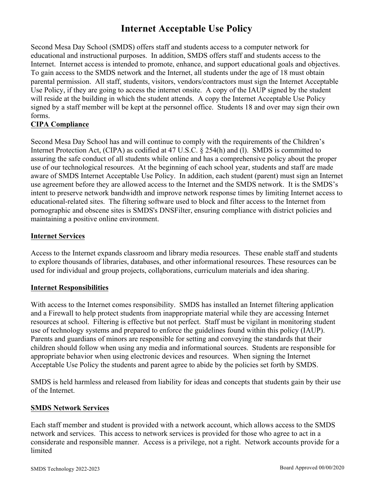## **Internet Acceptable Use Policy**

Second Mesa Day School (SMDS) offers staff and students access to a computer network for educational and instructional purposes. In addition, SMDS offers staff and students access to the Internet. Internet access is intended to promote, enhance, and support educational goals and objectives. To gain access to the SMDS network and the Internet, all students under the age of 18 must obtain parental permission. All staff, students, visitors, vendors/contractors must sign the Internet Acceptable Use Policy, if they are going to access the internet onsite. A copy of the IAUP signed by the student will reside at the building in which the student attends. A copy the Internet Acceptable Use Policy signed by a staff member will be kept at the personnel office. Students 18 and over may sign their own forms.

## **CIPA Compliance**

Second Mesa Day School has and will continue to comply with the requirements of the Children's Internet Protection Act, (CIPA) as codified at 47 U.S.C. § 254(h) and (l). SMDS is committed to assuring the safe conduct of all students while online and has a comprehensive policy about the proper use of our technological resources. At the beginning of each school year, students and staff are made aware of SMDS Internet Acceptable Use Policy. In addition, each student (parent) must sign an Internet use agreement before they are allowed access to the Internet and the SMDS network. It is the SMDS's intent to preserve network bandwidth and improve network response times by limiting Internet access to educational-related sites. The filtering software used to block and filter access to the Internet from pornographic and obscene sites is SMDS's DNSFilter, ensuring compliance with district policies and maintaining a positive online environment.

## **Internet Services**

Access to the Internet expands classroom and library media resources. These enable staff and students to explore thousands of libraries, databases, and other informational resources. These resources can be used for individual and group projects, collaborations, curriculum materials and idea sharing.

## **Internet Responsibilities**

With access to the Internet comes responsibility. SMDS has installed an Internet filtering application and a Firewall to help protect students from inappropriate material while they are accessing Internet resources at school. Filtering is effective but not perfect. Staff must be vigilant in monitoring student use of technology systems and prepared to enforce the guidelines found within this policy (IAUP). Parents and guardians of minors are responsible for setting and conveying the standards that their children should follow when using any media and informational sources. Students are responsible for appropriate behavior when using electronic devices and resources. When signing the Internet Acceptable Use Policy the students and parent agree to abide by the policies set forth by SMDS.

SMDS is held harmless and released from liability for ideas and concepts that students gain by their use of the Internet.

#### **SMDS Network Services**

Each staff member and student is provided with a network account, which allows access to the SMDS network and services. This access to network services is provided for those who agree to act in a considerate and responsible manner. Access is a privilege, not a right. Network accounts provide for a limited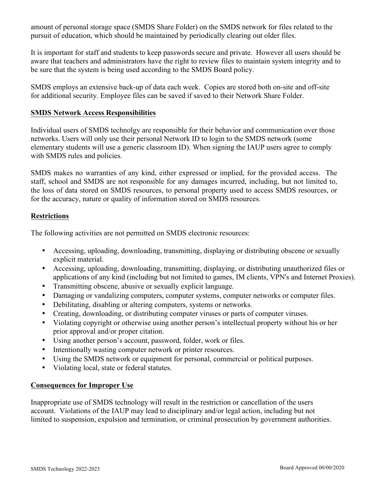amount of personal storage space (SMDS Share Folder) on the SMDS network for files related to the pursuit of education, which should be maintained by periodically clearing out older files.

It is important for staff and students to keep passwords secure and private. However all users should be aware that teachers and administrators have the right to review files to maintain system integrity and to be sure that the system is being used according to the SMDS Board policy.

SMDS employs an extensive back-up of data each week. Copies are stored both on-site and off-site for additional security. Employee files can be saved if saved to their Network Share Folder.

#### **SMDS Network Access Responsibilities**

Individual users of SMDS technolgy are responsible for their behavior and communication over those networks. Users will only use their personal Network ID to login to the SMDS network (some elementary students will use a generic classroom ID). When signing the IAUP users agree to comply with SMDS rules and policies.

SMDS makes no warranties of any kind, either expressed or implied, for the provided access. The staff, school and SMDS are not responsible for any damages incurred, including, but not limited to, the loss of data stored on SMDS resources, to personal property used to access SMDS resources, or for the accuracy, nature or quality of information stored on SMDS resources.

## **Restrictions**

The following activities are not permitted on SMDS electronic resources:

- Accessing, uploading, downloading, transmitting, displaying or distributing obscene or sexually explicit material.
- Accessing, uploading, downloading, transmitting, displaying, or distributing unauthorized files or applications of any kind (including but not limited to games, IM clients, VPN's and Internet Proxies).
- Transmitting obscene, abusive or sexually explicit language.
- Damaging or vandalizing computers, computer systems, computer networks or computer files.
- Debilitating, disabling or altering computers, systems or networks.
- Creating, downloading, or distributing computer viruses or parts of computer viruses.
- Violating copyright or otherwise using another person's intellectual property without his or her prior approval and/or proper citation.
- Using another person's account, password, folder, work or files.
- Intentionally wasting computer network or printer resources.
- Using the SMDS network or equipment for personal, commercial or political purposes.
- Violating local, state or federal statutes.

## **Consequences for Improper Use**

Inappropriate use of SMDS technology will result in the restriction or cancellation of the users account. Violations of the IAUP may lead to disciplinary and/or legal action, including but not limited to suspension, expulsion and termination, or criminal prosecution by government authorities.